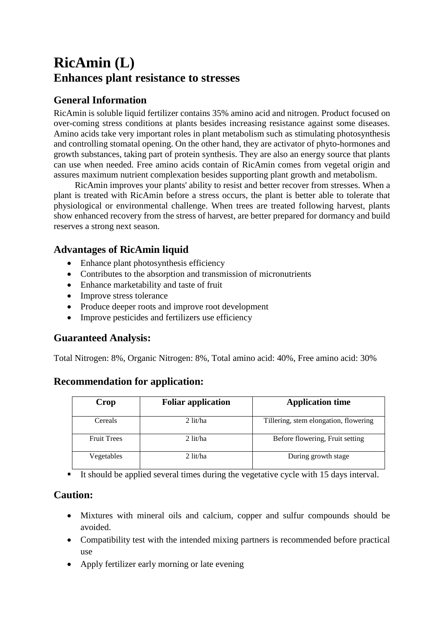# **RicAmin (L) Enhances plant resistance to stresses**

## **General Information**

RicAmin is soluble liquid fertilizer contains 35% amino acid and nitrogen. Product focused on over-coming stress conditions at plants besides increasing resistance against some diseases. Amino acids take very important roles in plant metabolism such as stimulating photosynthesis and controlling stomatal opening. On the other hand, they are activator of phyto-hormones and growth substances, taking part of protein synthesis. They are also an energy source that plants can use when needed. Free amino acids contain of RicAmin comes from vegetal origin and assures maximum nutrient complexation besides supporting plant growth and metabolism.

RicAmin improves your plants' ability to resist and better recover from stresses. When a plant is treated with RicAmin before a stress occurs, the plant is better able to tolerate that physiological or environmental challenge. When trees are treated following harvest, plants show enhanced recovery from the stress of harvest, are better prepared for dormancy and build reserves a strong next season.

### **Advantages of RicAmin liquid**

- Enhance plant photosynthesis efficiency
- Contributes to the absorption and transmission of micronutrients
- Enhance marketability and taste of fruit
- Improve stress tolerance
- Produce deeper roots and improve root development
- Improve pesticides and fertilizers use efficiency

#### **Guaranteed Analysis:**

Total Nitrogen: 8%, Organic Nitrogen: 8%, Total amino acid: 40%, Free amino acid: 30%

#### **Recommendation for application:**

| Crop               | <b>Foliar application</b> | <b>Application time</b>               |
|--------------------|---------------------------|---------------------------------------|
| Cereals            | $2$ lit/ha                | Tillering, stem elongation, flowering |
| <b>Fruit Trees</b> | $2$ lit/ha                | Before flowering, Fruit setting       |
| Vegetables         | $2$ lit/ha                | During growth stage                   |

It should be applied several times during the vegetative cycle with 15 days interval.

#### **Caution:**

- Mixtures with mineral oils and calcium, copper and sulfur compounds should be avoided.
- Compatibility test with the intended mixing partners is recommended before practical use
- Apply fertilizer early morning or late evening